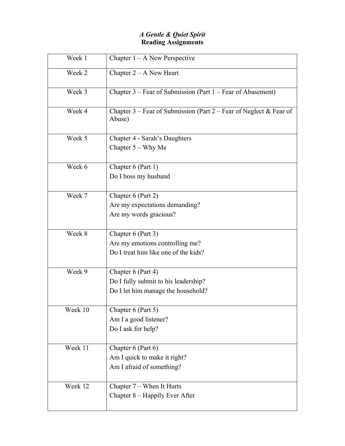# *A Gentle & Quiet Spirit*  **Reading Assignments**

| Week 1  | Chapter $1 - A$ New Perspective                                                                  |
|---------|--------------------------------------------------------------------------------------------------|
| Week 2  | Chapter $2 - A$ New Heart                                                                        |
| Week 3  | Chapter 3 – Fear of Submission (Part 1 – Fear of Abasement)                                      |
| Week 4  | Chapter 3 – Fear of Submission (Part 2 – Fear of Neglect & Fear of<br>Abuse)                     |
| Week 5  | <b>Chapter 4 - Sarah's Daughters</b><br>Chapter $5 - Why$ Me                                     |
| Week 6  | Chapter 6 (Part 1)<br>Do I boss my husband                                                       |
| Week 7  | Chapter 6 (Part 2)<br>Are my expectations demanding?<br>Are my words gracious?                   |
| Week 8  | Chapter 6 (Part 3)<br>Are my emotions controlling me?<br>Do I treat him like one of the kids?    |
| Week 9  | Chapter 6 (Part 4)<br>Do I fully submit to his leadership?<br>Do I let him manage the household? |
| Week 10 | Chapter 6 (Part 5)<br>Am I a good listener?<br>Do I ask for help?                                |
| Week 11 | Chapter 6 (Part 6)<br>Am I quick to make it right?<br>Am I afraid of something?                  |
| Week 12 | Chapter 7 – When It Hurts<br>Chapter 8 – Happily Ever After                                      |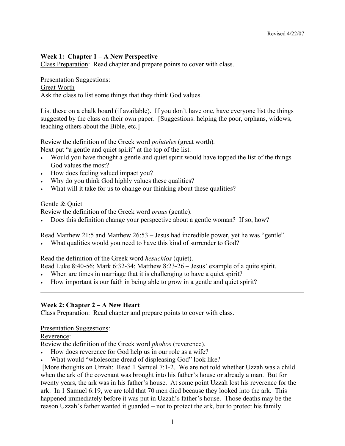### **Week 1: Chapter 1 – A New Perspective**

Class Preparation: Read chapter and prepare points to cover with class.

#### Presentation Suggestions:

Great Worth

 $\overline{a}$ 

Ask the class to list some things that they think God values.

List these on a chalk board (if available). If you don't have one, have everyone list the things suggested by the class on their own paper. [Suggestions: helping the poor, orphans, widows, teaching others about the Bible, etc.]

Review the definition of the Greek word *poluteles* (great worth)*.* 

Next put "a gentle and quiet spirit" at the top of the list.

- Would you have thought a gentle and quiet spirit would have topped the list of the things God values the most?
- How does feeling valued impact you?
- Why do you think God highly values these qualities?
- What will it take for us to change our thinking about these qualities?

### Gentle & Quiet

Review the definition of the Greek word *praus* (gentle).

• Does this definition change your perspective about a gentle woman? If so, how?

Read Matthew 21:5 and Matthew 26:53 – Jesus had incredible power, yet he was "gentle".

What qualities would you need to have this kind of surrender to God?

Read the definition of the Greek word *hesuchios* (quiet).

Read Luke 8:40-56; Mark 6:32-34; Matthew 8:23-26 – Jesus' example of a quite spirit.

- When are times in marriage that it is challenging to have a quiet spirit?
- How important is our faith in being able to grow in a gentle and quiet spirit?

### **Week 2: Chapter 2 – A New Heart**

Class Preparation: Read chapter and prepare points to cover with class.

Presentation Suggestions:

### Reverence:

l

Review the definition of the Greek word *phobos* (reverence).

- How does reverence for God help us in our role as a wife?
- What would "wholesome dread of displeasing God" look like?

 [More thoughts on Uzzah: Read 1 Samuel 7:1-2. We are not told whether Uzzah was a child when the ark of the covenant was brought into his father's house or already a man. But for twenty years, the ark was in his father's house. At some point Uzzah lost his reverence for the ark. In 1 Samuel 6:19, we are told that 70 men died because they looked into the ark. This happened immediately before it was put in Uzzah's father's house. Those deaths may be the reason Uzzah's father wanted it guarded – not to protect the ark, but to protect his family.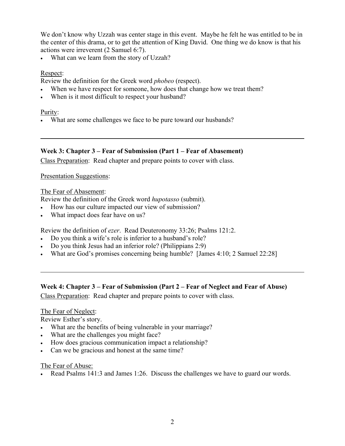We don't know why Uzzah was center stage in this event. Maybe he felt he was entitled to be in the center of this drama, or to get the attention of King David. One thing we do know is that his actions were irreverent (2 Samuel 6:7).

What can we learn from the story of Uzzah?

### Respect:

Review the definition for the Greek word *phobeo* (respect).

- When we have respect for someone, how does that change how we treat them?
- When is it most difficult to respect your husband?

### Purity:

 $\overline{a}$ 

l

• What are some challenges we face to be pure toward our husbands?

## **Week 3: Chapter 3 – Fear of Submission (Part 1 – Fear of Abasement)**

Class Preparation: Read chapter and prepare points to cover with class.

Presentation Suggestions:

### The Fear of Abasement:

Review the definition of the Greek word *hupotasso* (submit).

- How has our culture impacted our view of submission?
- What impact does fear have on us?

Review the definition of *ezer*. Read Deuteronomy 33:26; Psalms 121:2.

- Do you think a wife's role is inferior to a husband's role?
- Do you think Jesus had an inferior role? (Philippians 2:9)
- What are God's promises concerning being humble? [James 4:10; 2 Samuel 22:28]

## **Week 4: Chapter 3 – Fear of Submission (Part 2 – Fear of Neglect and Fear of Abuse)**

Class Preparation: Read chapter and prepare points to cover with class.

### The Fear of Neglect:

Review Esther's story.

- What are the benefits of being vulnerable in your marriage?
- What are the challenges you might face?
- How does gracious communication impact a relationship?
- Can we be gracious and honest at the same time?

## The Fear of Abuse:

• Read Psalms 141:3 and James 1:26. Discuss the challenges we have to guard our words.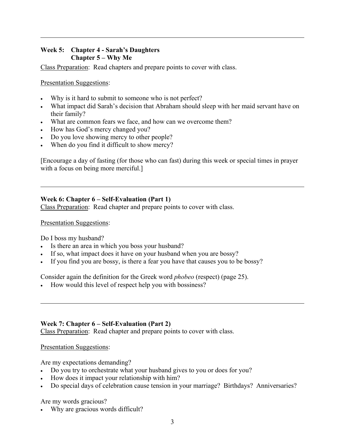## **Week 5: Chapter 4 - Sarah's Daughters Chapter 5 – Why Me**

Class Preparation: Read chapters and prepare points to cover with class.

Presentation Suggestions:

l

l

l

- Why is it hard to submit to someone who is not perfect?
- What impact did Sarah's decision that Abraham should sleep with her maid servant have on their family?
- What are common fears we face, and how can we overcome them?
- How has God's mercy changed you?
- Do you love showing mercy to other people?
- When do you find it difficult to show mercy?

[Encourage a day of fasting (for those who can fast) during this week or special times in prayer with a focus on being more merciful.]

## **Week 6: Chapter 6 – Self-Evaluation (Part 1)**

Class Preparation: Read chapter and prepare points to cover with class.

Presentation Suggestions:

Do I boss my husband?

- Is there an area in which you boss your husband?
- If so, what impact does it have on your husband when you are bossy?
- If you find you are bossy, is there a fear you have that causes you to be bossy?

Consider again the definition for the Greek word *phobeo* (respect) (page 25).

• How would this level of respect help you with bossiness?

### **Week 7: Chapter 6 – Self-Evaluation (Part 2)**

Class Preparation: Read chapter and prepare points to cover with class.

### Presentation Suggestions:

Are my expectations demanding?

- Do you try to orchestrate what your husband gives to you or does for you?
- How does it impact your relationship with him?
- Do special days of celebration cause tension in your marriage? Birthdays? Anniversaries?

Are my words gracious?

• Why are gracious words difficult?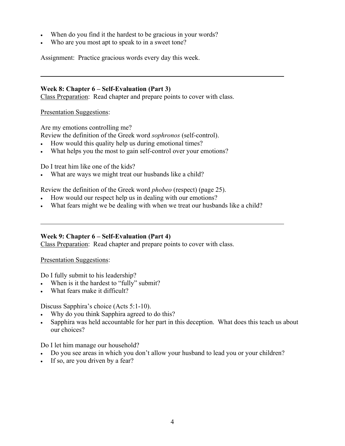- When do you find it the hardest to be gracious in your words?
- Who are you most apt to speak to in a sweet tone?

Assignment: Practice gracious words every day this week.

### **Week 8: Chapter 6 – Self-Evaluation (Part 3)**

Class Preparation: Read chapter and prepare points to cover with class.

Presentation Suggestions:

l

l

Are my emotions controlling me?

Review the definition of the Greek word *sophronos* (self-control).

- How would this quality help us during emotional times?
- What helps you the most to gain self-control over your emotions?

Do I treat him like one of the kids?

• What are ways we might treat our husbands like a child?

Review the definition of the Greek word *phobeo* (respect) (page 25).

- How would our respect help us in dealing with our emotions?
- What fears might we be dealing with when we treat our husbands like a child?

### **Week 9: Chapter 6 – Self-Evaluation (Part 4)**

Class Preparation: Read chapter and prepare points to cover with class.

Presentation Suggestions:

Do I fully submit to his leadership?

- When is it the hardest to "fully" submit?
- What fears make it difficult?

Discuss Sapphira's choice (Acts 5:1-10).

- Why do you think Sapphira agreed to do this?
- Sapphira was held accountable for her part in this deception. What does this teach us about our choices?

Do I let him manage our household?

- Do you see areas in which you don't allow your husband to lead you or your children?
- If so, are you driven by a fear?